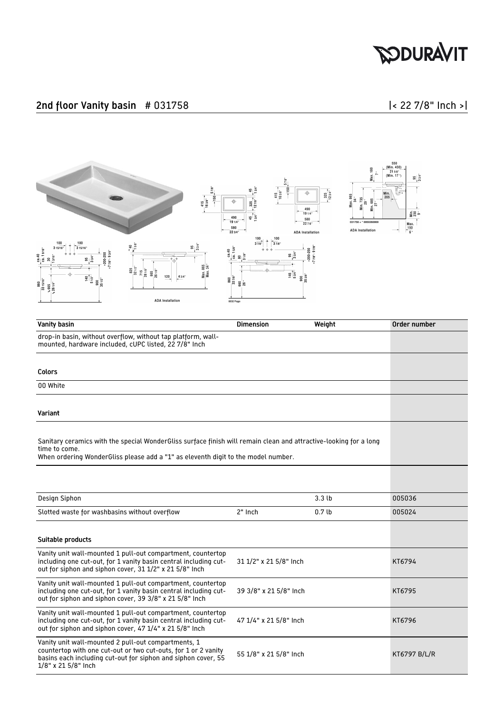

### 2nd floor Vanity basin # 031758 |< 22 7/8" Inch >|



| Vanity basin                                                                                                                                                                                                            | <b>Dimension</b>       | Weight           | Order number        |
|-------------------------------------------------------------------------------------------------------------------------------------------------------------------------------------------------------------------------|------------------------|------------------|---------------------|
| drop-in basin, without overflow, without tap platform, wall-<br>mounted, hardware included, cUPC listed, 22 7/8" Inch                                                                                                   |                        |                  |                     |
| Colors                                                                                                                                                                                                                  |                        |                  |                     |
| 00 White                                                                                                                                                                                                                |                        |                  |                     |
| Variant                                                                                                                                                                                                                 |                        |                  |                     |
| Sanitary ceramics with the special WonderGliss surface finish will remain clean and attractive-looking for a long<br>time to come.<br>When ordering WonderGliss please add a "1" as eleventh digit to the model number. |                        |                  |                     |
|                                                                                                                                                                                                                         |                        |                  |                     |
| Design Siphon                                                                                                                                                                                                           |                        | 3.3 <sub>b</sub> | 005036              |
| Slotted waste for washbasins without overflow                                                                                                                                                                           | 2" Inch                | 0.7 <sub>b</sub> | 005024              |
| Suitable products                                                                                                                                                                                                       |                        |                  |                     |
| Vanity unit wall-mounted 1 pull-out compartment, countertop<br>including one cut-out, for 1 vanity basin central including cut-<br>out for siphon and siphon cover, 31 1/2" x 21 5/8" Inch                              | 31 1/2" x 21 5/8" Inch |                  | KT6794              |
| Vanity unit wall-mounted 1 pull-out compartment, countertop<br>including one cut-out, for 1 vanity basin central including cut-<br>out for siphon and siphon cover, 39 3/8" x 21 5/8" Inch                              | 39 3/8" x 21 5/8" Inch |                  | KT6795              |
| Vanity unit wall-mounted 1 pull-out compartment, countertop<br>including one cut-out, for 1 vanity basin central including cut-<br>out for siphon and siphon cover, 47 1/4" x 21 5/8" Inch                              | 47 1/4" x 21 5/8" Inch |                  | KT6796              |
| Vanity unit wall-mounted 2 pull-out compartments, 1<br>countertop with one cut-out or two cut-outs, for 1 or 2 vanity<br>basins each including cut-out for siphon and siphon cover, 55<br>1/8" x 21 5/8" Inch           | 55 1/8" x 21 5/8" Inch |                  | <b>KT6797 B/L/R</b> |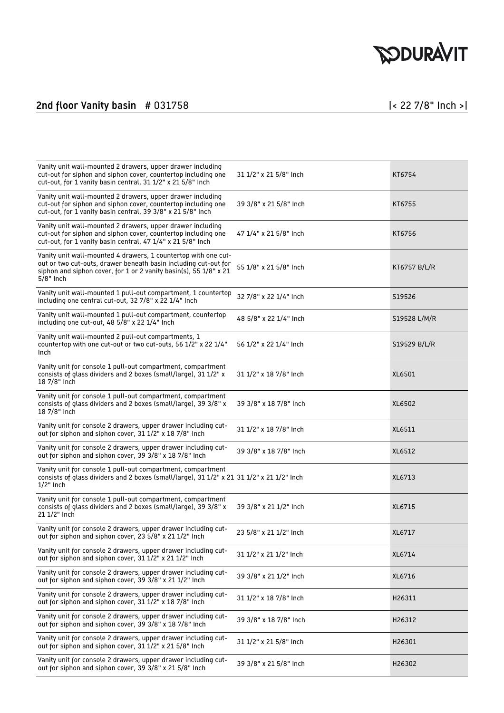## **SODURAVIT**

### 2nd floor Vanity basin # 031758 |< 22 7/8" Inch >|

| Vanity unit wall-mounted 2 drawers, upper drawer including<br>cut-out for siphon and siphon cover, countertop including one<br>cut-out, for 1 vanity basin central, 31 1/2" x 21 5/8" Inch                            | 31 1/2" x 21 5/8" Inch | KT6754       |
|-----------------------------------------------------------------------------------------------------------------------------------------------------------------------------------------------------------------------|------------------------|--------------|
| Vanity unit wall-mounted 2 drawers, upper drawer including<br>cut-out for siphon and siphon cover, countertop including one<br>cut-out, for 1 vanity basin central, 39 3/8" x 21 5/8" Inch                            | 39 3/8" x 21 5/8" Inch | KT6755       |
| Vanity unit wall-mounted 2 drawers, upper drawer including<br>cut-out for siphon and siphon cover, countertop including one<br>cut-out, for 1 vanity basin central, 47 1/4" x 21 5/8" Inch                            | 47 1/4" x 21 5/8" Inch | KT6756       |
| Vanity unit wall-mounted 4 drawers, 1 countertop with one cut-<br>out or two cut-outs, drawer beneath basin including cut-out for<br>siphon and siphon cover, for 1 or 2 vanity basin(s), 55 1/8" x 21<br>$5/8"$ Inch | 55 1/8" x 21 5/8" Inch | KT6757 B/L/R |
| Vanity unit wall-mounted 1 pull-out compartment, 1 countertop<br>including one central cut-out, 32 7/8" x 22 1/4" Inch                                                                                                | 32 7/8" x 22 1/4" Inch | S19526       |
| Vanity unit wall-mounted 1 pull-out compartment, countertop<br>including one cut-out, 48 5/8" x 22 1/4" Inch                                                                                                          | 48 5/8" x 22 1/4" Inch | S19528 L/M/R |
| Vanity unit wall-mounted 2 pull-out compartments, 1<br>countertop with one cut-out or two cut-outs, 56 1/2" x 22 1/4"<br>Inch                                                                                         | 56 1/2" x 22 1/4" Inch | S19529 B/L/R |
| Vanity unit for console 1 pull-out compartment, compartment<br>consists of glass dividers and 2 boxes (small/large), 31 1/2" x<br>18 7/8" Inch                                                                        | 31 1/2" x 18 7/8" Inch | XL6501       |
| Vanity unit for console 1 pull-out compartment, compartment<br>consists of glass dividers and 2 boxes (small/large), 39 3/8" x<br>18 7/8" Inch                                                                        | 39 3/8" x 18 7/8" Inch | XL6502       |
| Vanity unit for console 2 drawers, upper drawer including cut-<br>out for siphon and siphon cover, 31 1/2" x 18 7/8" Inch                                                                                             | 31 1/2" x 18 7/8" Inch | XL6511       |
| Vanity unit for console 2 drawers, upper drawer including cut-<br>out for siphon and siphon cover, 39 3/8" x 18 7/8" Inch                                                                                             | 39 3/8" x 18 7/8" Inch | XL6512       |
| Vanity unit for console 1 pull-out compartment, compartment<br>consists of glass dividers and 2 boxes (small/large), 31 1/2" x 21 31 1/2" x 21 1/2" Inch<br>$1/2$ " Inch                                              |                        | XL6713       |
| Vanity unit for console 1 pull-out compartment, compartment<br>consists of glass dividers and 2 boxes (small/large), 39 3/8" x<br>21 1/2" Inch                                                                        | 39 3/8" x 21 1/2" Inch | XL6715       |
| Vanity unit for console 2 drawers, upper drawer including cut-<br>out for siphon and siphon cover, 23 5/8" x 21 1/2" Inch                                                                                             | 23 5/8" x 21 1/2" Inch | XL6717       |
| Vanity unit for console 2 drawers, upper drawer including cut-<br>out for siphon and siphon cover, 31 1/2" x 21 1/2" Inch                                                                                             | 31 1/2" x 21 1/2" Inch | XL6714       |
| Vanity unit for console 2 drawers, upper drawer including cut-<br>out for siphon and siphon cover, 39 3/8" x 21 1/2" Inch                                                                                             | 39 3/8" x 21 1/2" Inch | XL6716       |
| Vanity unit for console 2 drawers, upper drawer including cut-<br>out for siphon and siphon cover, 31 1/2" x 18 7/8" Inch                                                                                             | 31 1/2" x 18 7/8" Inch | H26311       |
| Vanity unit for console 2 drawers, upper drawer including cut-<br>out for siphon and siphon cover, 39 3/8" x 18 7/8" Inch                                                                                             | 39 3/8" x 18 7/8" Inch | H26312       |
| Vanity unit for console 2 drawers, upper drawer including cut-<br>out for siphon and siphon cover, 31 1/2" x 21 5/8" Inch                                                                                             | 31 1/2" x 21 5/8" Inch | H26301       |
| Vanity unit for console 2 drawers, upper drawer including cut-<br>out for siphon and siphon cover, 39 3/8" x 21 5/8" Inch                                                                                             | 39 3/8" x 21 5/8" Inch | H26302       |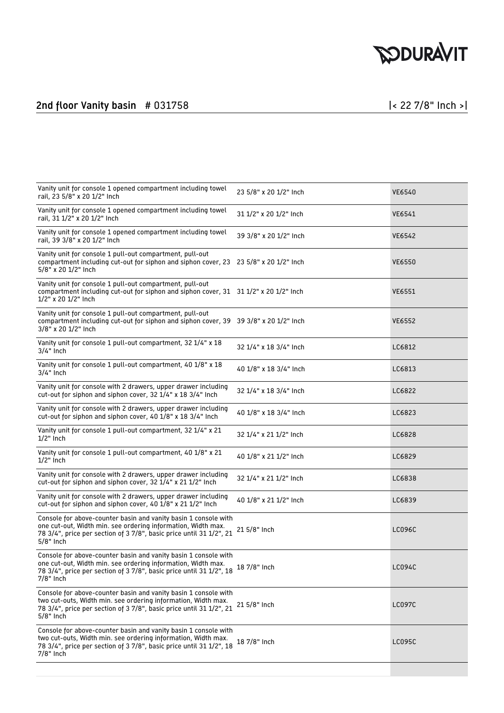# **SODURAVIT**

### 2nd floor Vanity basin # 031758 |< 22 7/8" Inch >|

| Vanity unit for console 1 opened compartment including towel<br>rail, 23 5/8" x 20 1/2" Inch                                                                                                                           | 23 5/8" x 20 1/2" Inch | <b>VE6540</b> |
|------------------------------------------------------------------------------------------------------------------------------------------------------------------------------------------------------------------------|------------------------|---------------|
| Vanity unit for console 1 opened compartment including towel<br>rail, 31 1/2" x 20 1/2" Inch                                                                                                                           | 31 1/2" x 20 1/2" Inch | <b>VE6541</b> |
| Vanity unit for console 1 opened compartment including towel<br>rail, 39 3/8" x 20 1/2" Inch                                                                                                                           | 39 3/8" x 20 1/2" Inch | VE6542        |
| Vanity unit for console 1 pull-out compartment, pull-out<br>compartment including cut-out for siphon and siphon cover, 23 23 5/8" x 20 1/2" Inch<br>5/8" x 20 1/2" Inch                                                |                        | <b>VE6550</b> |
| Vanity unit for console 1 pull-out compartment, pull-out<br>compartment including cut-out for siphon and siphon cover, 31 31 1/2" x 20 1/2" Inch<br>1/2" x 20 1/2" Inch                                                |                        | <b>VE6551</b> |
| Vanity unit for console 1 pull-out compartment, pull-out<br>compartment including cut-out for siphon and siphon cover, 39 39 3/8" x 20 1/2" Inch<br>3/8" x 20 1/2" Inch                                                |                        | <b>VE6552</b> |
| Vanity unit for console 1 pull-out compartment, 32 1/4" x 18<br>$3/4"$ Inch                                                                                                                                            | 32 1/4" x 18 3/4" Inch | LC6812        |
| Vanity unit for console 1 pull-out compartment, 40 1/8" x 18<br>$3/4"$ Inch                                                                                                                                            | 40 1/8" x 18 3/4" Inch | LC6813        |
| Vanity unit for console with 2 drawers, upper drawer including<br>cut-out for siphon and siphon cover, 32 1/4" x 18 3/4" Inch                                                                                          | 32 1/4" x 18 3/4" Inch | LC6822        |
| Vanity unit for console with 2 drawers, upper drawer including<br>cut-out for siphon and siphon cover, 40 1/8" x 18 3/4" Inch                                                                                          | 40 1/8" x 18 3/4" Inch | LC6823        |
| Vanity unit for console 1 pull-out compartment, 32 1/4" x 21<br>$1/2$ " Inch                                                                                                                                           | 32 1/4" x 21 1/2" Inch | LC6828        |
| Vanity unit for console 1 pull-out compartment, 40 1/8" x 21<br>$1/2$ " Inch                                                                                                                                           | 40 1/8" x 21 1/2" Inch | LC6829        |
| Vanity unit for console with 2 drawers, upper drawer including<br>cut-out for siphon and siphon cover, 32 1/4" x 21 1/2" Inch                                                                                          | 32 1/4" x 21 1/2" Inch | LC6838        |
| Vanity unit for console with 2 drawers, upper drawer including<br>cut-out for siphon and siphon cover, 40 1/8" x 21 1/2" Inch                                                                                          | 40 1/8" x 21 1/2" Inch | LC6839        |
| Console for above-counter basin and vanity basin 1 console with<br>one cut-out, Width min. see ordering information, Width max.<br>78 3/4", price per section of 3 7/8", basic price until 31 1/2", 21<br>5/8" Inch    | 21 5/8" Inch           | LC096C        |
| Console for above-counter basin and vanity basin 1 console with<br>one cut-out, Width min. see ordering information, Width max.<br>78 3/4", price per section of 3 7/8", basic price until 31 1/2", 18<br>$7/8"$ Inch  | 18 7/8" Inch           | LC094C        |
| Console for above-counter basin and vanity basin 1 console with<br>two cut-outs, Width min. see ordering information, Width max.<br>78 3/4", price per section of 3 7/8", basic price until 31 1/2", 21<br>$5/8"$ Inch | 21 5/8" Inch           | <b>LC097C</b> |
| Console for above-counter basin and vanity basin 1 console with<br>two cut-outs, Width min. see ordering information, Width max.<br>78 3/4", price per section of 3 7/8", basic price until 31 1/2", 18<br>7/8" Inch   | 18 7/8" Inch           | <b>LC095C</b> |
|                                                                                                                                                                                                                        |                        |               |